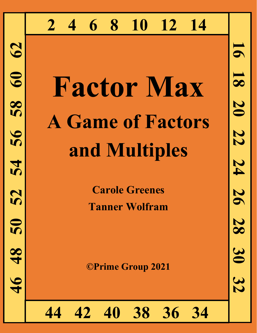# **2 4 6 8 10 12 14**

# **Factor Max A Game of Factors and Multiples**

**Carole Greenes Tanner Wolfram**

56

28

30

32

24

 $\overline{\mathbf{5}}$ 

 $\overline{\mathbf{8}}$ 

20

22

**©Prime Group 2021**

**34 44 42 40 38 36 34**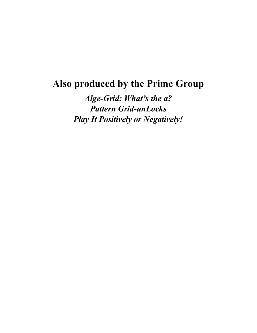# **Also produced by the Prime Group**

*Alge-Grid: What's the a? Pattern Grid-unLocks Play It Positively or Negatively!*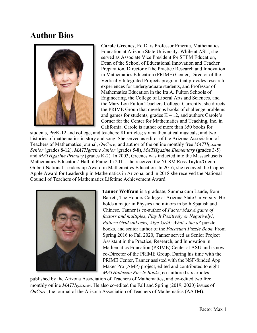## **Author Bios**



**Carole Greenes**, Ed.D. is Professor Emerita, Mathematics Education at Arizona State University. While at ASU, she served as Associate Vice President for STEM Education, Dean of the School of Educational Innovation and Teacher Preparation, Director of the Practice Research and Innovation in Mathematics Education (PRIME) Center, Director of the Vertically Integrated Projects program that provides research experiences for undergraduate students, and Professor of Mathematics Education in the Ira A. Fulton Schools of Engineering, the College of Liberal Arts and Sciences, and the Mary Lou Fulton Teachers College. Currently, she directs the PRIME Group that develops books of challenge problems and games for students, grades  $K - 12$ , and authors Carole's Corner for the Center for Mathematics and Teaching, Inc. in California. Carole is author of more than 350 books for

students, PreK-12 and college, and teachers; 81 articles; six mathematical musicals; and two histories of mathematics in story and song. She served as editor of the Arizona Association of Teachers of Mathematics journal, *OnCore*, and author of the online monthly free *MATHgazine Senior* (grades 8-12), *MATHgazine Junior* (grades 5-8), *MATHgazine Elementary* (grades 3-5) and *MATHgazine Primary* (grades K-2). In 2003, Greenes was inducted into the Massachusetts Mathematics Educators' Hall of Fame. In 2011, she received the NCSM Ross Taylor/Glenn Gilbert National Leadership Award in Mathematics Education. In 2016, she received the Copper Apple Award for Leadership in Mathematics in Arizona, and in 2018 she received the National Council of Teachers of Mathematics Lifetime Achievement Award.



**Tanner Wolfram** is a graduate, Summa cum Laude, from Barrett, The Honors College at Arizona State University. He holds a major in Physics and minors in both Spanish and Chinese. Tanner is co-author of *Factor Max A game of factors and multiples*, *Play It Positively or Negatively!*, *Pattern Grid-unLocks, Alge-Grid: What's the a?* puzzle books, and senior author of the *Facasumi Puzzle Book*. From Spring 2016 to Fall 2020, Tanner served as Senior Project Assistant in the Practice, Research, and Innovation in Mathematics Education (PRIME) Center at ASU and is now co-Director of the PRIME Group. During his time with the PRIME Center, Tanner assisted with the NSF-funded App Maker Pro (AMP) project, edited and contributed to eight *MATHadazzle Puzzle Books*, co-authored six articles

published by the Arizona Association of Teachers of Mathematics, and co-edited two free monthly online *MATHgazines.* He also co-edited the Fall and Spring (2019, 2020) issues of *OnCore*, the journal of the Arizona Association of Teachers of Mathematics (AATM).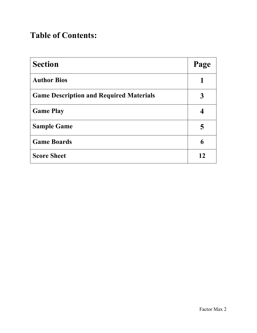# **Table of Contents:**

| <b>Section</b>                                 | Page |
|------------------------------------------------|------|
| <b>Author Bios</b>                             |      |
| <b>Game Description and Required Materials</b> | 3    |
| <b>Game Play</b>                               |      |
| <b>Sample Game</b>                             | 5    |
| <b>Game Boards</b>                             | 6    |
| <b>Score Sheet</b>                             | 12   |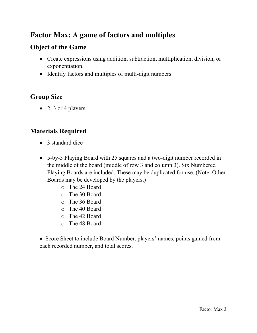#### **Factor Max: A game of factors and multiples**

#### **Object of the Game**

- Create expressions using addition, subtraction, multiplication, division, or exponentiation.
- Identify factors and multiples of multi-digit numbers.

#### **Group Size**

• 2, 3 or 4 players

#### **Materials Required**

- 3 standard dice
- 5-by-5 Playing Board with 25 squares and a two-digit number recorded in the middle of the board (middle of row 3 and column 3). Six Numbered Playing Boards are included. These may be duplicated for use. (Note: Other Boards may be developed by the players.)
	- o The 24 Board
	- o The 30 Board
	- o The 36 Board
	- o The 40 Board
	- o The 42 Board
	- o The 48 Board

• Score Sheet to include Board Number, players' names, points gained from each recorded number, and total scores.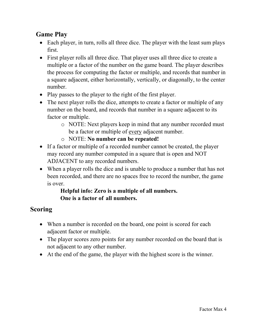#### **Game Play**

- Each player, in turn, rolls all three dice. The player with the least sum plays first.
- First player rolls all three dice. That player uses all three dice to create a multiple or a factor of the number on the game board. The player describes the process for computing the factor or multiple, and records that number in a square adjacent, either horizontally, vertically, or diagonally, to the center number.
- Play passes to the player to the right of the first player.
- The next player rolls the dice, attempts to create a factor or multiple of any number on the board, and records that number in a square adjacent to its factor or multiple.
	- o NOTE: Next players keep in mind that any number recorded must be a factor or multiple of every adjacent number.
	- o NOTE: **No number can be repeated!**
- If a factor or multiple of a recorded number cannot be created, the player may record any number computed in a square that is open and NOT ADJACENT to any recorded numbers.
- When a player rolls the dice and is unable to produce a number that has not been recorded, and there are no spaces free to record the number, the game is over.

#### **Helpful info: Zero is a multiple of all numbers. One is a factor of all numbers.**

#### **Scoring**

- When a number is recorded on the board, one point is scored for each adjacent factor or multiple.
- The player scores zero points for any number recorded on the board that is not adjacent to any other number.
- At the end of the game, the player with the highest score is the winner.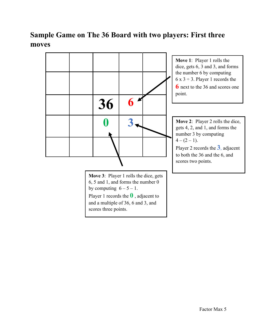#### **Sample Game on The 36 Board with two players: First three moves**

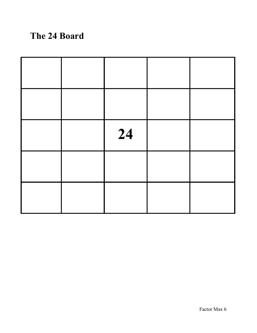# **The 24 Board**

|  | 24 |  |
|--|----|--|
|  |    |  |
|  |    |  |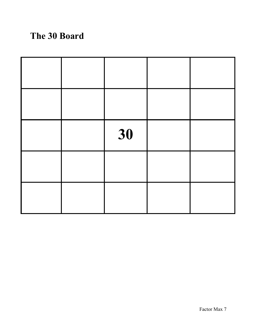# **The 30 Board**

|  | 30 |  |
|--|----|--|
|  |    |  |
|  |    |  |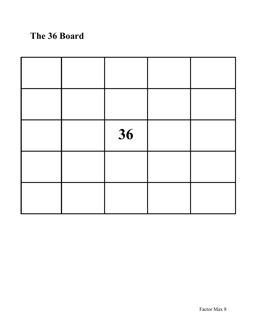# **The 36 Board**

|  | 36 |  |
|--|----|--|
|  |    |  |
|  |    |  |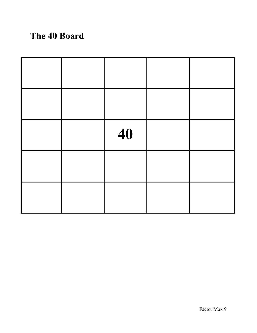# **The 40 Board**

|  | 40 |  |
|--|----|--|
|  |    |  |
|  |    |  |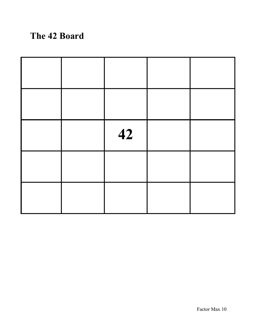# **The 42 Board**

|  | 42 |  |
|--|----|--|
|  |    |  |
|  |    |  |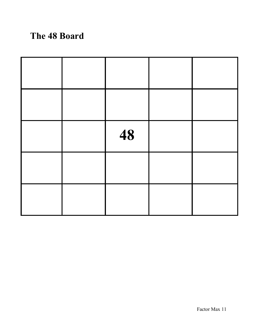# **The 48 Board**

|  | 48 |  |
|--|----|--|
|  |    |  |
|  |    |  |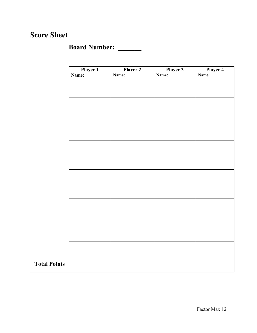#### **Score Sheet**

## **Board Number: \_\_\_\_\_\_\_**

|                     | Player 1<br>Name: | Player 2<br>Name: | Player 3<br>Name: | Player 4<br>Name: |
|---------------------|-------------------|-------------------|-------------------|-------------------|
|                     |                   |                   |                   |                   |
|                     |                   |                   |                   |                   |
|                     |                   |                   |                   |                   |
|                     |                   |                   |                   |                   |
|                     |                   |                   |                   |                   |
|                     |                   |                   |                   |                   |
|                     |                   |                   |                   |                   |
|                     |                   |                   |                   |                   |
|                     |                   |                   |                   |                   |
|                     |                   |                   |                   |                   |
|                     |                   |                   |                   |                   |
| <b>Total Points</b> |                   |                   |                   |                   |